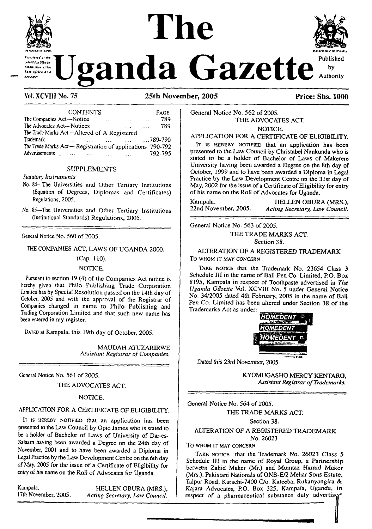# **The**



#### **Vol.XCVIHNo. 75 25th November, 2005 Price: Shs. 1000**

| <b>CONTENTS</b>                                             |   |  |               | Page          |
|-------------------------------------------------------------|---|--|---------------|---------------|
| The Companies Act-Notice                                    | . |  | $\cdots$      | 789           |
| The Advocates Act-Notices                                   |   |  | $\sim$ $\sim$ | 789           |
| The Trade Marks Act-Altered of A Registered                 |   |  |               |               |
| Trademark                                                   |   |  |               | $0.789 - 790$ |
| The Trade Marks Act-Registration of applications<br>790-792 |   |  |               |               |
| Advertisements                                              |   |  |               | 792-795       |

#### SUPPLEMENTS

#### Statutory *Instruments*

- No. <sup>84</sup>—The Universities and Other Tertiary Institutions (Equation of Degrees, Diplomas and Certificates) Regulations, 2005.
- No. <sup>85</sup>—The Universities and Other Tertiary Institutions (Institutional Standards) Regulations, 2005.

#### General Notice No. 560 of 2005.

THE COMPANIES ACT, LAWS OF UGANDA 2000.

#### (Cap. 110).

NOTICE.

Pursuant to section 19 (4) of the Companies Act notice is hereby given that Philo Publishing Trade Corporation Limited has by Special Resolution passed on the 14th day of October, 2005 and with the approval of the Registrar of Companies changed in name to Philo Publishing and Trading Corporation Limited and that such new name has been entered in my register.

DATED at Kampala, this 19th day of October, 2005.

MAUDAH ATUZARIRWE *Assistant Registrar ofCompanies.*

General Notice No. 561 of 2005.

THE ADVOCATES ACT.

#### NOTICE.

#### APPLICATION FOR A CERTIFICATE OF ELIGIBILITY.

I<sup>t</sup> is hereby notified that an application has been presented to the Law Council by Opio James who is stated to be a holder of Bachelor of Laws of University of Dar-es-Salaam having been awarded a Degree on the 24th day of November, 2001 and to have been awarded a Diploma in Legal Practice by the Law Development Centre on the 6th day of May, 2005 for the issue of a Certificate of Eligibility for entry of his name on the Roll of Advocates for Uganda.

Kampala, HELLEN OBURA (MRS.), 17th November, 2005. Acting Secretary, Law Council. 17th November, 2005. *Acting Secretary, Law Council.* General Notice No. 562 of 2005. THE ADVOCATES ACT. NOTICE.

APPLICATION FOR A CERTIFICATE OF ELIGIBILITY.

IT IS HEREBY NOTIFIED that an application has been presented to the Law Council by Christabel Nankunda who is stated to be a holder of Bachelor of Laws of Makerere University having been awarded a Degree on the 8th day of October, 1999 and to have been awarded a Diploma in Legal Practice by the Law Development Centre on the 31st day of May, 2002 for the issue of a Certificate of Eligibility for entry of his name on the Roll of Advocates for Uganda.

Kampala, FELLEN OBURA (MRS.), FELLEN OBURA (MRS.),  $22nd$  November, 2005. Acting Secretary. Law Council. 22nd November, 2005. *Acting Secretary, Law Council.*

General Notice No. 563 of 2005.

THE TRADE MARKS ACT.

Section 38.

ALTERATION OF A REGISTERED TRADEMARK To **WHOM IT MAY CONCERN**

TAKE NOTICE that the Trademark No. 23654 Class 3 Schedule III in the name of Ball Pen Co. Limited, P.O. Box 8195, Kampala in respect of Toothpaste advertised in *The Uganda Gazette* Vol. XCVIII No. 5 under General Notice No. 34/2005 dated 4th February, 2005 in the name of Ball Pen Co. Limited has been altered under Section 38 of the Trademarks Act as under:



Dated *this* 23rd November, 2005.

KYOMUGASHO MERCY KENTARO, *Assistant Registrar ofTrademarks.*

General Notice No. 564 of 2005.

THE TRADE MARKS ACT.

Section 38.

#### ALTERATION OF A REGISTERED TRADEMARK No. 26023

To **WHOM IT MAY CONCERN**

TAKE NOTICE that the Trademark No. 26023 Class 5 Schedule III in the name of Royal Group, a Partnership between Zahid Maker (Mr.) and Mumtaz Hamid Maker (Mrs.), Pakistani Nationals of ONB-E/2 Mehar Sons Estate, Talpur Road, Karachi-7400 C/o. Kateeba, Rukanyangira & Kajara Advocates, P.O. Box 325, Kampala, Uganda, in respect of a pharmaceutical substance duly advertised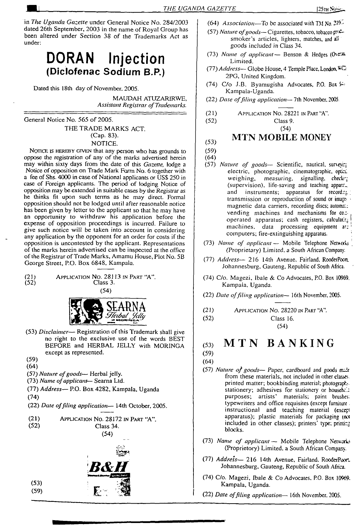in *The Uganda Gazette* under General Notice No. 284/2003 dated 26th September, 2003 in the name of Royal Group has been altered under Section 38 of the Trademarks Act as under:

# DORAN Injection **(Diclofenac Sodium B.P.)**

Dated this 18th day of November. 2005.

MAUDAH ATUZARIRWR *Assistant Registrar ofTrademarks.*

General Notice No. 565 of 2005. THE TRADE MARKS ACT. (Cap. 83). NOTICE.

NOTICE IS HEREBY GIVEN that any person who has grounds to oppose the registration of any of the marks advertised herein may within sixty days from the date of this *Gazette,* lodge a Notice of opposition on Trade Mark Form No. 6 together with a fee of Shs. 4000 in case of National applicants or USS 250 in case of Foreign applicants. The period of lodging Notice of opposition may be extended in suitable cases by the Registrar as he thinks fit upon such terms as he may direct. Formal opposition should not be lodged until after reasonable notice has been given by letter to the applicant so that he may have an opportunity to withdraw his application before the expense of opposition proceedings is incurred. Failure to give such notice will be taken into account in considering any application by the opponent for an order for costs if the opposition is uncontested by the applicant. Representations of the marks herein advertised can be inspected at the office of the Registrar of Trade Marks, Amamu House, Plot No. 5B George Street, P.O. Box 6848, Kampala.

(21) Application No. 28*11*3 in Part "A". Class 3. (54)



- (53) *Disclaimer—* Registration of this Trademark shall give no right to the exclusive use of the words BEST BEFORE and HERBAL JELLY with MORINGA except as represented.
- (59)
- (64)

(53) (59)

- (57) *Nature ofgoods* Herbal jelly.
- (73) *Name ofapplicant—* Seama Ltd.
- (77) *Address—* P.O. Box 4282, Kampala, Uganda (74)
- (22) *Date offding application—* 14th October, 2005.

| (21) | APPLICATION NO. 28172 IN PART "A". |
|------|------------------------------------|
| (52) | Class 34.                          |
|      | (54)                               |



- (64) *Association—To be* associated with TM No. 21^"
- (57) *Nature ofgoods—* Cigarettes, tobacco, tobacco padsmoker's articles, lighters, matches, and all goods included in Class 34.
- (73) *Name of applicant—* Benson & Hedges ((herA Limited.
- (77) *Address—* Globe House, 4 Temple Place, London, 2PG, United Kingdom.
- (74) C/o J.B. Byamugisha Advocates, P.O. Box *V-*Kampala-Uganda.
- (22) *Date offiling application—* 7th November, 2005.
- (21) APPLICATION NO. 28221 IN PART  $A$ <sup>"</sup>.<br>(52) Class 9.

Class 9. (54)

#### **MTN MOBILE MONEY**

```
(53)(59)
```
(64)

- (57) *Nature of goods—* Scientific, nautical, suneyin electric, photographic, cinematographic, opticl weighing, measuring, signalling, checki: (supervision), life-saving and teaching appara $\Box$ and instruments; apparatus for recording transmission or reproduction of sound or image magnetic data carriers, recording discs; automat: vending machines and mechanisms for co.:operated apparatus; cash registers, calculating machines, data processing equipment ar: computers; fire-extinguishing apparatus.
- (73) *Name of applicant —* Mobile Telephone Networks (Proprietary) Limited, a South African Company.
- (77) *Address* 216 14th Avenue, Fairland, RooderPocn. Johannesburg, Gauteng, Republic of South Africa.
- (74) C/o. Magezi, Ibale & Co Advocates, P.O. Box 10969. Kampala, Uganda.
- (22) *Date offding application—* 16th November, 2005.
- (21) Application No. 28220 in Part "A".
- (52) Class 16. (54)

## **(53) MTN BANKING**

- (59) (64)
- (57) *Nature of goods* Paper, *cardboard and goods* fiuc\* from these materials, not included in other classes, printed matter; bookbinding material; photograph', stationery; adhesives for stationery or househcl: purposes; artists' materials; paint brushes: typewriters and office requisites (except furniture. instructional and teaching material (except apparatus); plastic materials for packaging (nx included in other classes); printers' type; printing blocks.
- (73) *Name of applicant —* Mobile Telephone Networks (Proprietory) Limited, a South African Company.
- (77) *Address—* 216 14th Avenue, Fairland. RooderPocxL Johannesburg, Gauteng, Republic of South Africa.
- (74) C/o. Magezi, Ibale *& Co* Advocates. P.O. Box 10969. Kampala, Uganda.
- (22) *Date offiling application—* 16th November. 2005.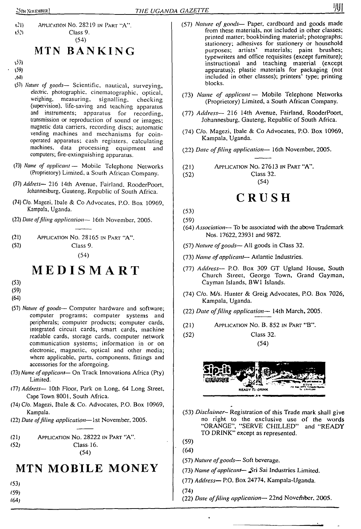# MTN BANKING

 $\{53\}$ 

159)

 $(4d)$ 

- (57) *Nature of goods—* Scientific, nautical, surveying, electric, photographic, cinematographic, optical,<br>weighing, measuring, signalling, checking measuring, signalling, checking (supervision), life-saving and teaching apparatus and instruments; apparatus for recording, transmission or reproduction of sound or images; magnetic data carriers, recording discs; automatic vending machines and mechanisms for coinoperated apparatus; cash registers, calculating machines, data processing equipment and computers; fire-extinguishing apparatus.
- (73) *Name of applicant—* Mobile Telephone Networks (Proprietory) Limited, a South African Company.
- (77) *Address—* 216 14th Avenue, Fairland. RooderPoort, Johannesburg, Gauteng, Republic of South Africa.
- (74) C/o. Magezi, Ibale & Co Advocates, P.O. Box 10969, Kampala, Uganda.
- (22) *Date offiling application—* 16th November, 2005.
- (21) Application No. 28165 in Part "A".
- (52) Class 9.

(54)

# **MEDISM ART**

(53)

- (59)
- (64)
- (57) *Nature of goods—* Computer hardware and software; computer programs; computer systems and peripherals; computer products; computer cards, integrated circuit cards, smart cards, machine readable cards, storage cards, computer network communication systems; information in or on electronic, magnetic, optical and other media; where applicable, parts, components, fittings and accessories for the aforegoing.
- (73) *Name ofapplicant—* On Track Innovations Africa (Pty) Limited.
- (77) *Address—* 10th Floor, Park on Long, 64 Long Street, Cape Town 8001, South Africa.
- (74) C/o. Magezi, Ibale & Co. Advocates, P.O. Box 10969, Kampala.
- (22) *Date offiling application—*1st November, 2005.
- (21) Application No. 28222 in Part "A".



# **MTN MOBILE MONEY**

- (53)
- (59)
- (64)
- (57) *Nature of goods—* Paper, cardboard and goods made from these materials, not included in other classes; printed matter; bookbinding material; photographs; stationery; adhesives for stationery or household purposes; artists' materials; paint brushes; typewriters and office requisites (except furniture); instructional and teaching material (except apparatus); plastic materials for packaging (not included in other classes); printers' type; printing blocks.
- (73) *Name of applicant —* Mobile Telephone Networks (Proprietory) Limited, a South African Company.
- (77) *Address—* 216 14th Avenue, Fairland, RooderPoort, Johannesburg, Gauteng, Republic of South Africa.
- (74) C/o. Magezi, Ibale & Co Advocates, P.O. Box 10969, Kampala, Uganda.
- (22) *Date offiling application—* 16th November, 2005.
- (21) Application No. 27613 in Part "A".

(52) Class 32.

# CRUSH

(54)

(53)

- (59)
- (64) *Association—* To be associated with the above Trademark Nos. 17622,23931 and 9872.
- (57) *Nature ofgoods* All goods in Class 32.
- (73) *Name ofapplicant* Atlantic Industries.
- (77) *Address—* P.O. Box 309 GT Ugland House, South Church Street, George Town, Grand Gayman, Cayman Islands, BW1 Islands.
- (74) C/o. M/s. Hunter & Greig Advocates, P.O. Box 7026, Kampala, Uganda.
- (22) *Date offiling application—* 14th March, 2005.
- (21) Application No. B. 852 in Part "B".
- (52) Class 32. (54)



- (53) *Disclaimer-* Registration of this Trade mark shall give no right to the exclusive use of the words "ORANGE", "SERVE CHILLED" and "READY TO DRINK" except as represented.
- (59)
- (64)
- (57) *Nature ofgoods—* Soft beverage.
- (73) *Name of applicant* Sri Sai Industries Limited.
- (77) *Address—* P.O. Box 24774, Kampala-Uganda.

(74)

(22) *Date offiling application—* 22nd November, 2005.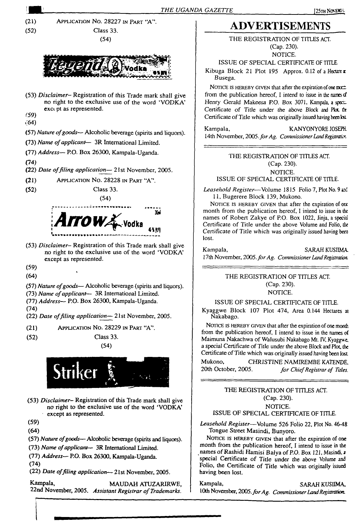

- no right to the exclusive use of the word 'VODKA\* except as represented.
- (59)
- **(64)**
- (57) *Nature ofgoods—* Alcoholic beverage (spirits and liquors).
- (73) *Name ofapplicant—* 3R International Limited.
- (77) *Address* P.O. Box 26300, Kampala-Uganda.
- **(74)**
- (22) *Date offiling application—* 21st November, 2005.

**Kampala, MAUDAH ATUZARIRWE,** 22nd November, 2005. *Assistant Registrar ofTrademarks.*

Kampala, SARAH KUSIIMA, 10th November, *2005.forAg. CommissionerLandRegistration.*

ISSUE OF SPECIAL CERTIFICATE OF TITLE. *Leasehold Register*—Volume 526 Folio 22, Plot No. 4648

NOTICE IS HEREBY GIVEN that after the expiration of one month from the publication hereof, I intend to issue in the names of Rashidi Hamisi Balya of P.O. Box 121, Masindi. a special Certificate of Title under *the* above Volume and Folio, the Certificate of Title which was originally issued

Tongue Street Masindi, Bunyoro.

having been lost.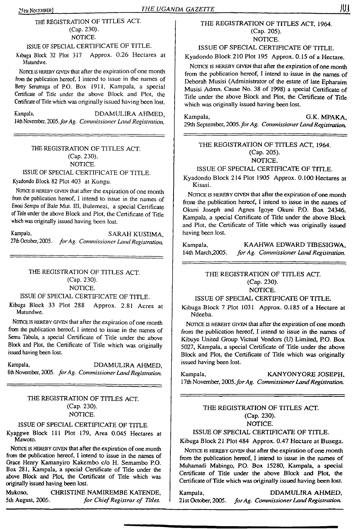#### 25th NomtBER] *THE UGANDA GAZETTE*

THE REGISTRATION OF TITLES ACT. (Cap. 230). NOTICE.

#### ISSUE OF SPECIAL CERTIFICATE OF TITLE.

Kibuga Block 32 Plot 317 Approx. 0.26 Hectares at Mutundwe.

Nonce is hereby given that after the expiration of one month from the publication hereof, I intend to issue in the names of Betty Serumaga of P.O. Box 1911, Kampala, a special Certificate of Title under the above Block and Plot, the Certificate ofTitle which was originally issued having been lost.

Kampala, DDAMULIRA AHMED, 14th November, *2005.forAg. CommissionerLand Registration.*

#### THE REGISTRATION OF TITLES ACT. (Cap. 230). NOTICE.

#### ISSUE OF SPECIAL CERTIFICATE OF TITLE.

Kyadondo Block 82 Plot 403 at Kungu.

Nonce is hereby given that after the expiration of one month from the publication hereof, I intend to issue in the names of Enosi Sempa of Bale Mut. HI, Bulemezi, a special Certificate ofTitle under the above Block and Plot, the Certificate of Title which was originally issued having been lost.

Kampala, SARAH KUSIIMA, 27th October, 2005. *forAg. Commissioner LandRegistration.*

### THE REGISTRATION OF TITLES ACT. (Cap. 230). NOTICE.

#### ISSUE OF SPECIAL CERTIFICATE OF TITLE.

Kibuga Block 33 Plot 288 Approx. 2.81 Acres at Mutundwe.

NOTICE IS HEREBY GIVEN that after the expiration of one month from the publication hereof, I intend to issue in the names of Semu Tabula, a special Certificate of Title under the above Block and Plot, the Certificate of Title which was originally issued having been lost.

Kampala, DDAMULIRA AHMED, 8th November, 2005. *forAg. Commissioner LandRegistration.*

#### THE REGISTRATION OF TITLES ACT. (Cap. 230). NOTICE.

## ISSUE OF SPECIAL CERTIFICATE OF TITLE.

Kyaggwe Block 111 Plot 179, Area 0.045 Hectares at Mawoto.

Notice is HEREBY GIVEN that after the expiration of one month from the publication hereof, I intend to issue in the names of Grace Henry Kamanyiro Kakembo c/o H. Semambo P.O. Box 281, Kampala, a special Certificate of Title under the above Block and Plot, the Certificate of Title which was originally issued having been lost.

Mukono, CHRISTINE NAMIREMBE KATENDE, 5th August, 2005. *for ChiefRegistrar of Titles.*

#### THE REGISTRATION OF TITLES ACT, 1964. (Cap. 205). NOTICE.

ISSUE OF SPECIAL CERTIFICATE OF TITLE.

Kyadondo Block 210 Plot 195 Approx. 0.15 of a Hectare.

NOTICE IS HEREBY GIVEN that after the expiration of one month from the publication hereof, I intend to issue in the names of Deborah Musisi (Administrator of the estate of late Epharaim Musisi Admn. Cause No. 38 of 1998) a special Certificate of Title under the above Block and Plot, the Certificate of Title which was originally issued having been lost.

Kampala, G.K. MPAKA, 29th September, 2005*.forAg. Commissioner LandRegistration.*

THE REGISTRATION OF TITLES ACT, 1964. (Cap. 205). NOTICE.

#### ISSUE OF SPECIAL CERTIFICATE OF TITLE.

Kyadondo Block 214 Plot 1905 Approx. 0.100 Hectares at Kisasi.

NOTICE IS HEREBY GIVEN that after the expiration of one month from the publication hereof, I intend to issue in the names of Okuni Joseph and Agnes Igoye Okuni P.O. Box 24346, Kampala, a special Certificate of Title under the above Block and Plot, the Certificate of Title which was originally issued having been lost.

Kampala, KAAHWA EDWARD TIBESIGWA,<br>14th March.2005. for Ag. Commissioner Land Registration. 14th March,2005. *forAg. Commissioner Land Registration.*

#### THE REGISTRATION OF TITLES ACT. (Cap. 230). NOTICE.

#### ISSUE OF SPECIAL CERTIFICATE OF TITLE.

Kibuga Block 7 Plot 1031 Approx. 0.185 of a Hectare at Ndeeba.

NOTICE IS HEREBY GIVEN that after the expiration of one month from the publication hereof, I intend to issue in the names of Kibuye United Group Victual Vendors (U) Limited, P.O. Box 5027, Kampala, a special Certificate of Title under the above Block and Plot, the Certificate of Title which was originally issued having been lost.

Kampala. **KANYONYORE JOSEPH.** 17th November, 2005. for Ag. Commissioner Land Registration.

#### THE REGISTRATION OF TITLES ACT. (Cap. 230). NOTICE.

#### ISSUE OF SPECIAL CERTIFICATE OF TITLE.

Kibuga Block 21 Plot 484 Approx. 0.47 Hectare at Busega.

NOTICE IS HEREBY GIVEN that after the expiration of one month from the publication hereof, I intend to issue in the names of Muhamadi Mabingo, P.O. Box 15280, Kampala, a special Certificate of Title under the above Block and Plot, the Certificate of Title which was originally issued having been lost.

Kampala, DDAMULIRA AHMED, 21st October, 2005. *forAg. CommissionerLandRegistration.*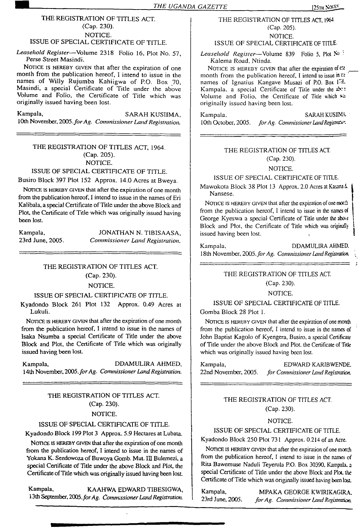#### THE REGISTRATION OF TITLES ACT. (Cap. 230). NOTICE. ISSUE OF SPECIAL CERTIFICATE OF TITLE.

*Leasehold Register—*Volume 2318 Folio 16, Plot No. 57, Perse Street Masindi.

NOTICE IS HEREBY GIVEN that after the expiration of one month from the publication hereof, I intend to issue in the names of Willy Rujumba Kahiigwa of P.O. Box 70, Masindi, a special Certificate of Title under the above Volume and Folio, the Certificate of Title which was originally issued having been lost.

Kampala, SARAH KUSIIMA, 10th November, *2005.forAg. Commissioner Land Registration.*

#### THE REGISTRATION OF TITLES ACT, 1964. (Cap. 205). NOTICE.

#### ISSUE OF SPECIAL CERTIFICATE OF TITLE.

Busiro Block 397 Plot 152 Approx. 14.0 Acres at Bweya.

NOTICE IS HEREBY GIVEN that after the expiration of one month from the publication hereof, I intend to issue in the names of Eri Kalibala, a special Certificate of Title under the above Block and Plot, the Certificate of Title which was originally issued having been lost.

Kampala, JONATHAN N. TIBISAASA, 23rd June, 2005. Commissioner Land Registration. 23rd June, 2005. *Commissioner Land Registration.*

#### THE REGISTRATION OF TITLES ACT.

#### (Cap. 230).

#### NOTICE.

#### ISSUE OF SPECIAL CERTIFICATE OF TITLE.

Kyadondo Block 261 Plot 132 Approx. 0.49 Acres at Lukuli.

NOTICE IS HEREBY GIVEN that after the expiration of one month from the publication hereof, I intend to issue in the names of Isaka Nsumba a special Certificate of Title under the above Block and Plot, the Certificate of Title which was originally issued having been lost.

Kampala, DDAMULIRA AHMED, 14th November, *2005.forAg. CommissionerLand Registration.*

#### THE REGISTRATION OF TITLES ACT. (Cap. 230). NOTICE.

#### ISSUE OF SPECIAL CERTIFICATE OF TITLE.

Kyadondo Block 199 Plot 3 Approx. 5.9 Hectares at Lubata.

NOTICE IS HEREBY GIVEN that after the expiration of one month from the publication hereof, I intend to issue in the names of Yokana K. Sendowoza of Buwoya Gomb. Mut. III Bulemezi, a special Certificate of Title under the above Block and Plot, the Certificate of Title which was originally issued having been lost.

Kampala, KAAHWA EDWARD TIBESIGWA, 13th September, 2005.*forAg. CommissionerLand Registration.*

#### THE REGISTRATION OF TITLES ACT. <sup>1964</sup> (Cap. 205). NOTICE.

ISSUE OF SPECIAL CERTIFICATE OF TITLE

*Leasehold Register—*Volume <sup>839</sup> Folio 5, Plot No - Kalema Road. Ntinda.

NOTICE IS HEREBY GIVEN that after the expiration of  $C2$ month from the publication hereof, I intend to issue in  $\mathfrak{c}$ : names of Ignatius Kangave Musazi of P.O. Box F'X. Kampala, a special Certificate of Title under the aber: Volume and Folio, the Certificate of Title which <sup>52</sup> originally issued having been lost.

Kampala. SARAH KUSINA 10th October, 2005. for Ag. Commissioner Land Registrativ-

#### THE REGISTRATION OF TITLES ACT. (Cap. 230).

## NOTICE.

#### ISSUE OF SPECIAL CERTIFICATE OF TITLE.

Mawokota Block 38 Plot 13 Approx. 2.0 Acres at Kasanak i Nansese. |

NOTICE IS HEREBY GIVEN that after the expiration of one morth from the publication hereof, I intend to issue in the names of George Kyeswa a special Certificate of Title under the abo^e Block and Plot, the Certificate of Title which was originally issued having been lost.

Kampala, DDAMULIRA AHMED. 18th November, *2005.forAg. Commissioner LandRegistration. ;*

#### THE REGISTRATION OF TITLES ACT.

(Cap. 230).

#### NOTICE.

#### ISSUE OF SPECIAL CERTIFICATE OF TITLE.

Gomba Block 28 Plot 1.

NOTICE IS HEREBY GIVEN that after the expiration of one month from the publication hereof, I intend to issue in the names of John Baptist Kagolo of Kyengera, Busiro, a special Certificate of Title under the above Block and Plot, the Certificate of Title which was originally issued having been lost.

Kampala, EDWARD KARJBWENDE 22nd November, 2005. *for Commissioner Land Registration.*

> THE REGISTRATION OF TITLES ACT. (Cap. 230).

#### NOTICE.

#### ISSUE OF SPECIAL CERTIFICATE OF TITLE.

Kyadondo Block 250 Plot 731 Approx. 0.214 of an Acre.

NOTICE IS HEREBY GIVEN that after the expiration of one month from the publication hereof, I intend to issue in the names of Rita Bawemuse Naduli Teyerula P.O. Box 30390. Kampala, a special Certificate of Title under the above Block and Plot, the Certificate of Title which was originally issued having been lost.

Kampala, MPAKA GEORGE KWIRIKAGIRA,<br>23rd June, 2005. for Ag. Commissioner Land Registration 23rd *June, 2005. forAg. Commissioner Land Registration*